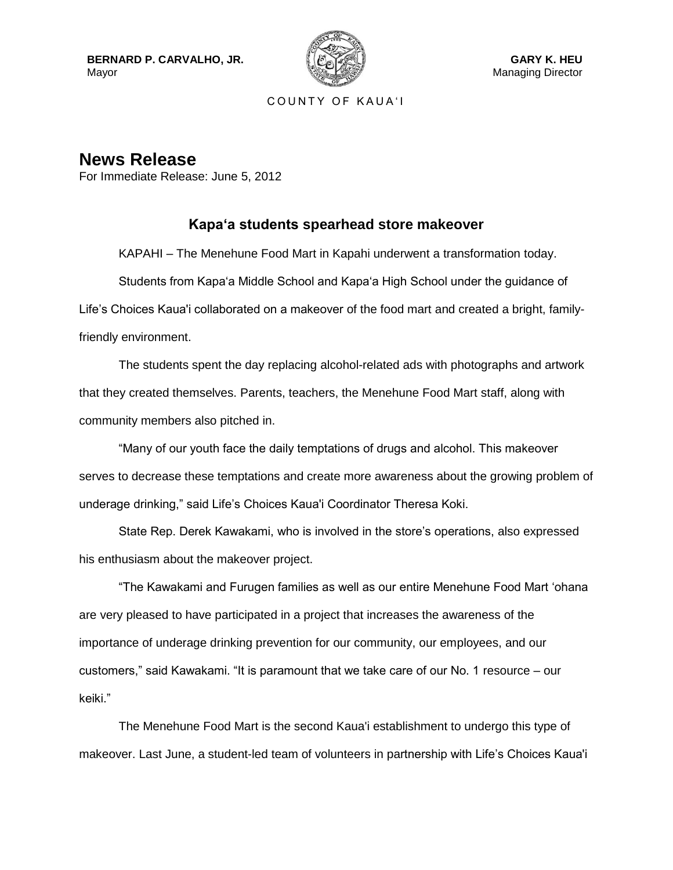**BERNARD P. CARVALHO, JR.** Mayor



COUNTY OF KAUA'I

**News Release** For Immediate Release: June 5, 2012

## **Kapa'a students spearhead store makeover**

KAPAHI – The Menehune Food Mart in Kapahi underwent a transformation today.

Students from Kapa'a Middle School and Kapa'a High School under the guidance of Life's Choices Kaua'i collaborated on a makeover of the food mart and created a bright, familyfriendly environment.

The students spent the day replacing alcohol-related ads with photographs and artwork that they created themselves. Parents, teachers, the Menehune Food Mart staff, along with community members also pitched in.

"Many of our youth face the daily temptations of drugs and alcohol. This makeover serves to decrease these temptations and create more awareness about the growing problem of underage drinking," said Life's Choices Kaua'i Coordinator Theresa Koki.

State Rep. Derek Kawakami, who is involved in the store's operations, also expressed his enthusiasm about the makeover project.

"The Kawakami and Furugen families as well as our entire Menehune Food Mart 'ohana are very pleased to have participated in a project that increases the awareness of the importance of underage drinking prevention for our community, our employees, and our customers," said Kawakami. "It is paramount that we take care of our No. 1 resource – our keiki."

The Menehune Food Mart is the second Kaua'i establishment to undergo this type of makeover. Last June, a student-led team of volunteers in partnership with Life's Choices Kaua'i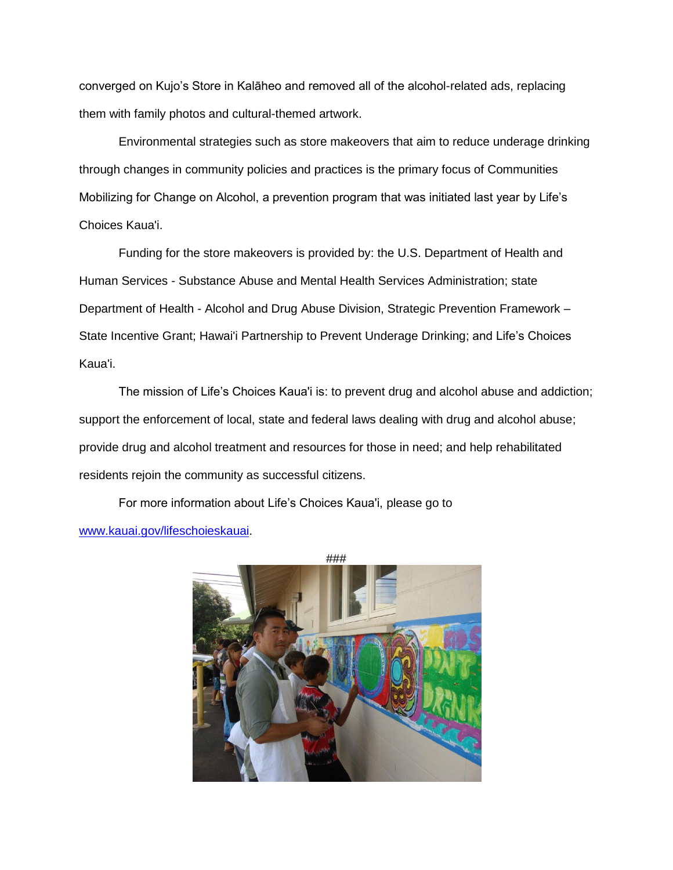converged on Kujo's Store in Kalāheo and removed all of the alcohol-related ads, replacing them with family photos and cultural-themed artwork.

Environmental strategies such as store makeovers that aim to reduce underage drinking through changes in community policies and practices is the primary focus of Communities Mobilizing for Change on Alcohol, a prevention program that was initiated last year by Life's Choices Kaua'i.

Funding for the store makeovers is provided by: the U.S. Department of Health and Human Services - Substance Abuse and Mental Health Services Administration; state Department of Health - Alcohol and Drug Abuse Division, Strategic Prevention Framework – State Incentive Grant; Hawai'i Partnership to Prevent Underage Drinking; and Life's Choices Kaua'i.

The mission of Life's Choices Kaua'i is: to prevent drug and alcohol abuse and addiction; support the enforcement of local, state and federal laws dealing with drug and alcohol abuse; provide drug and alcohol treatment and resources for those in need; and help rehabilitated residents rejoin the community as successful citizens.

For more information about Life's Choices Kaua'i, please go to [www.kauai.gov/lifeschoieskauai.](http://www.kauai.gov/lifeschoieskauai)